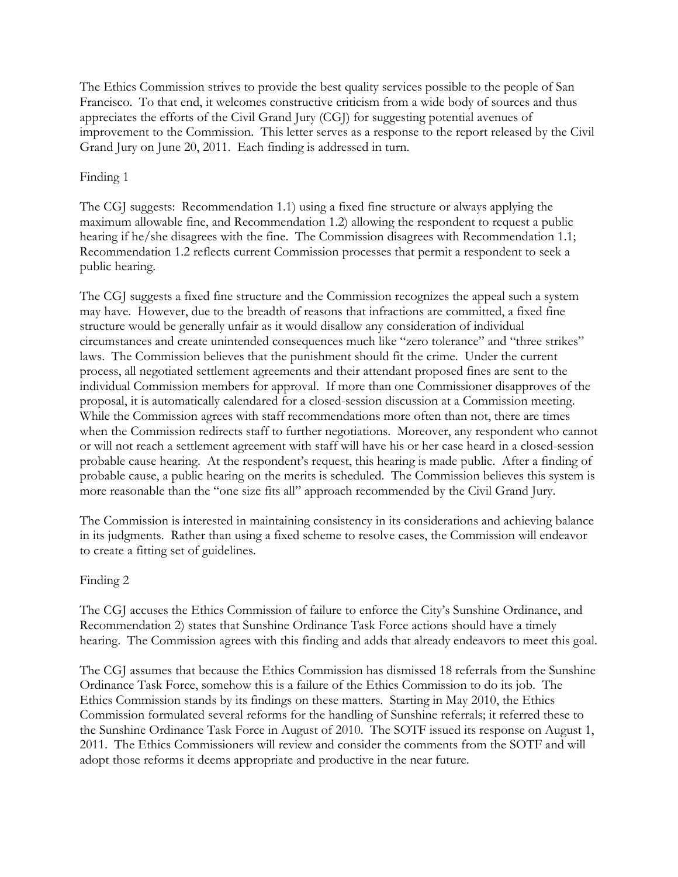The Ethics Commission strives to provide the best quality services possible to the people of San Francisco. To that end, it welcomes constructive criticism from a wide body of sources and thus appreciates the efforts of the Civil Grand Jury (CGJ) for suggesting potential avenues of improvement to the Commission. This letter serves as a response to the report released by the Civil Grand Jury on June 20, 2011. Each finding is addressed in turn.

# Finding 1

The CGJ suggests: Recommendation 1.1) using a fixed fine structure or always applying the maximum allowable fine, and Recommendation 1.2) allowing the respondent to request a public hearing if he/she disagrees with the fine. The Commission disagrees with Recommendation 1.1; Recommendation 1.2 reflects current Commission processes that permit a respondent to seek a public hearing.

The CGJ suggests a fixed fine structure and the Commission recognizes the appeal such a system may have. However, due to the breadth of reasons that infractions are committed, a fixed fine structure would be generally unfair as it would disallow any consideration of individual circumstances and create unintended consequences much like "zero tolerance" and "three strikes" laws. The Commission believes that the punishment should fit the crime. Under the current process, all negotiated settlement agreements and their attendant proposed fines are sent to the individual Commission members for approval. If more than one Commissioner disapproves of the proposal, it is automatically calendared for a closed-session discussion at a Commission meeting. While the Commission agrees with staff recommendations more often than not, there are times when the Commission redirects staff to further negotiations. Moreover, any respondent who cannot or will not reach a settlement agreement with staff will have his or her case heard in a closed-session probable cause hearing. At the respondent's request, this hearing is made public. After a finding of probable cause, a public hearing on the merits is scheduled. The Commission believes this system is more reasonable than the "one size fits all" approach recommended by the Civil Grand Jury.

The Commission is interested in maintaining consistency in its considerations and achieving balance in its judgments. Rather than using a fixed scheme to resolve cases, the Commission will endeavor to create a fitting set of guidelines.

### Finding 2

The CGJ accuses the Ethics Commission of failure to enforce the City's Sunshine Ordinance, and Recommendation 2) states that Sunshine Ordinance Task Force actions should have a timely hearing. The Commission agrees with this finding and adds that already endeavors to meet this goal.

The CGJ assumes that because the Ethics Commission has dismissed 18 referrals from the Sunshine Ordinance Task Force, somehow this is a failure of the Ethics Commission to do its job. The Ethics Commission stands by its findings on these matters. Starting in May 2010, the Ethics Commission formulated several reforms for the handling of Sunshine referrals; it referred these to the Sunshine Ordinance Task Force in August of 2010. The SOTF issued its response on August 1, 2011. The Ethics Commissioners will review and consider the comments from the SOTF and will adopt those reforms it deems appropriate and productive in the near future.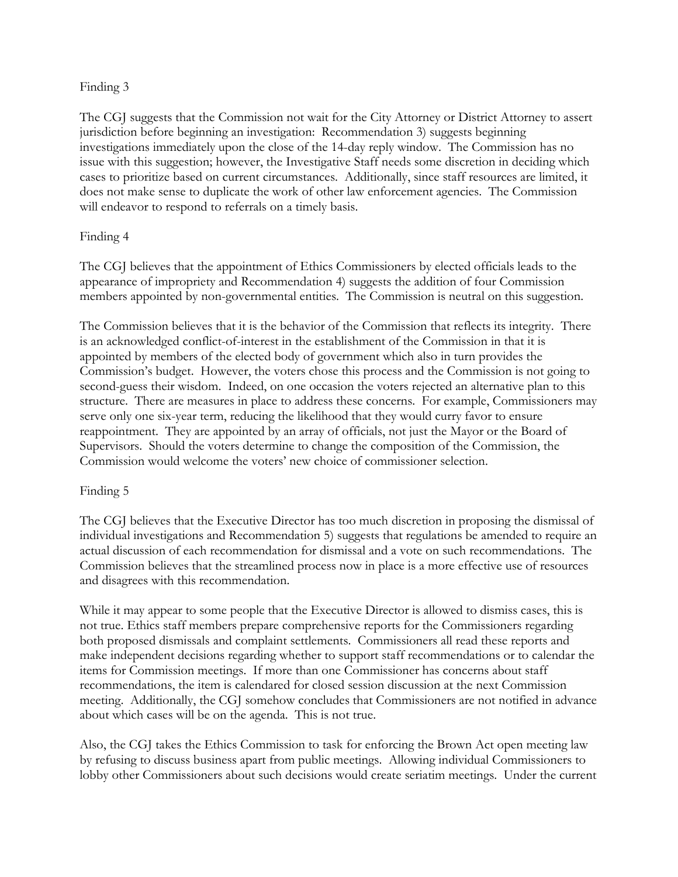#### Finding 3

The CGJ suggests that the Commission not wait for the City Attorney or District Attorney to assert jurisdiction before beginning an investigation: Recommendation 3) suggests beginning investigations immediately upon the close of the 14-day reply window. The Commission has no issue with this suggestion; however, the Investigative Staff needs some discretion in deciding which cases to prioritize based on current circumstances. Additionally, since staff resources are limited, it does not make sense to duplicate the work of other law enforcement agencies. The Commission will endeavor to respond to referrals on a timely basis.

### Finding 4

The CGJ believes that the appointment of Ethics Commissioners by elected officials leads to the appearance of impropriety and Recommendation 4) suggests the addition of four Commission members appointed by non-governmental entities. The Commission is neutral on this suggestion.

The Commission believes that it is the behavior of the Commission that reflects its integrity. There is an acknowledged conflict-of-interest in the establishment of the Commission in that it is appointed by members of the elected body of government which also in turn provides the Commission's budget. However, the voters chose this process and the Commission is not going to second-guess their wisdom. Indeed, on one occasion the voters rejected an alternative plan to this structure. There are measures in place to address these concerns. For example, Commissioners may serve only one six-year term, reducing the likelihood that they would curry favor to ensure reappointment. They are appointed by an array of officials, not just the Mayor or the Board of Supervisors. Should the voters determine to change the composition of the Commission, the Commission would welcome the voters' new choice of commissioner selection.

### Finding 5

The CGJ believes that the Executive Director has too much discretion in proposing the dismissal of individual investigations and Recommendation 5) suggests that regulations be amended to require an actual discussion of each recommendation for dismissal and a vote on such recommendations. The Commission believes that the streamlined process now in place is a more effective use of resources and disagrees with this recommendation.

While it may appear to some people that the Executive Director is allowed to dismiss cases, this is not true. Ethics staff members prepare comprehensive reports for the Commissioners regarding both proposed dismissals and complaint settlements. Commissioners all read these reports and make independent decisions regarding whether to support staff recommendations or to calendar the items for Commission meetings. If more than one Commissioner has concerns about staff recommendations, the item is calendared for closed session discussion at the next Commission meeting. Additionally, the CGJ somehow concludes that Commissioners are not notified in advance about which cases will be on the agenda. This is not true.

Also, the CGJ takes the Ethics Commission to task for enforcing the Brown Act open meeting law by refusing to discuss business apart from public meetings. Allowing individual Commissioners to lobby other Commissioners about such decisions would create seriatim meetings. Under the current